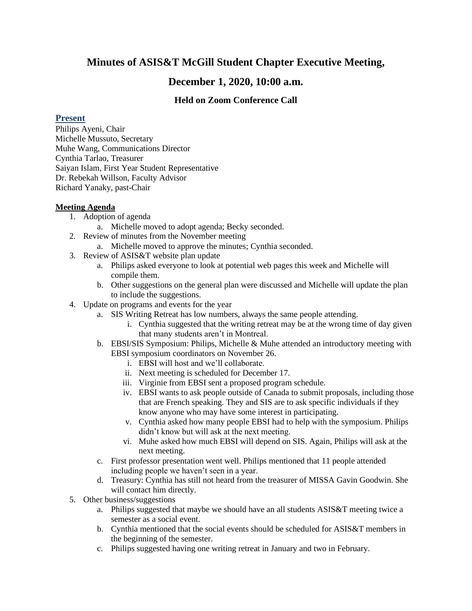# **Minutes of ASIS&T McGill Student Chapter Executive Meeting,**

## **December 1, 2020, 10:00 a.m.**

## **Held on Zoom Conference Call**

#### **Present**

Philips Ayeni, Chair Michelle Mussuto, Secretary Muhe Wang, Communications Director Cynthia Tarlao, Treasurer Saiyan Islam, First Year Student Representative Dr. Rebekah Willson, Faculty Advisor Richard Yanaky, past-Chair

### **Meeting Agenda**

- 1. Adoption of agenda
	- a. Michelle moved to adopt agenda; Becky seconded.
- 2. Review of minutes from the November meeting
	- a. Michelle moved to approve the minutes; Cynthia seconded.
- 3. Review of ASIS&T website plan update
	- a. Philips asked everyone to look at potential web pages this week and Michelle will compile them.
	- b. Other suggestions on the general plan were discussed and Michelle will update the plan to include the suggestions.
- 4. Update on programs and events for the year
	- a. SIS Writing Retreat has low numbers, always the same people attending.
		- i. Cynthia suggested that the writing retreat may be at the wrong time of day given that many students aren't in Montreal.
	- b. EBSI/SIS Symposium: Philips, Michelle & Muhe attended an introductory meeting with EBSI symposium coordinators on November 26.
		- i. EBSI will host and we'll collaborate.
		- ii. Next meeting is scheduled for December 17.
		- iii. Virginie from EBSI sent a proposed program schedule.
		- iv. EBSI wants to ask people outside of Canada to submit proposals, including those that are French speaking. They and SIS are to ask specific individuals if they know anyone who may have some interest in participating.
		- v. Cynthia asked how many people EBSI had to help with the symposium. Philips didn't know but will ask at the next meeting.
		- vi. Muhe asked how much EBSI will depend on SIS. Again, Philips will ask at the next meeting.
	- c. First professor presentation went well. Philips mentioned that 11 people attended including people we haven't seen in a year.
	- d. Treasury: Cynthia has still not heard from the treasurer of MISSA Gavin Goodwin. She will contact him directly.
- 5. Other business/suggestions
	- a. Philips suggested that maybe we should have an all students ASIS&T meeting twice a semester as a social event.
	- b. Cynthia mentioned that the social events should be scheduled for ASIS&T members in the beginning of the semester.
	- c. Philips suggested having one writing retreat in January and two in February.